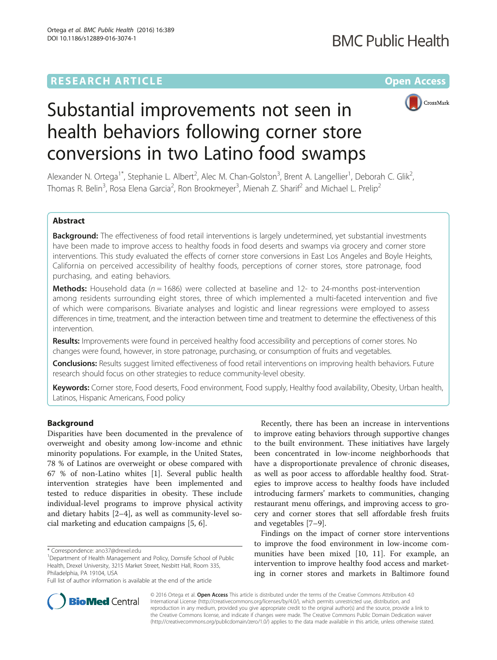## **RESEARCH ARTICLE External Structure Community Community Community Community Community Community Community Community**



# Substantial improvements not seen in health behaviors following corner store conversions in two Latino food swamps

Alexander N. Ortega<sup>1\*</sup>, Stephanie L. Albert<sup>2</sup>, Alec M. Chan-Golston<sup>3</sup>, Brent A. Langellier<sup>1</sup>, Deborah C. Glik<sup>2</sup> .<br>, Thomas R. Belin<sup>3</sup>, Rosa Elena Garcia<sup>2</sup>, Ron Brookmeyer<sup>3</sup>, Mienah Z. Sharif<sup>2</sup> and Michael L. Prelip<sup>2</sup>

#### Abstract

Background: The effectiveness of food retail interventions is largely undetermined, yet substantial investments have been made to improve access to healthy foods in food deserts and swamps via grocery and corner store interventions. This study evaluated the effects of corner store conversions in East Los Angeles and Boyle Heights, California on perceived accessibility of healthy foods, perceptions of corner stores, store patronage, food purchasing, and eating behaviors.

**Methods:** Household data ( $n = 1686$ ) were collected at baseline and 12- to 24-months post-intervention among residents surrounding eight stores, three of which implemented a multi-faceted intervention and five of which were comparisons. Bivariate analyses and logistic and linear regressions were employed to assess differences in time, treatment, and the interaction between time and treatment to determine the effectiveness of this intervention.

Results: Improvements were found in perceived healthy food accessibility and perceptions of corner stores. No changes were found, however, in store patronage, purchasing, or consumption of fruits and vegetables.

Conclusions: Results suggest limited effectiveness of food retail interventions on improving health behaviors. Future research should focus on other strategies to reduce community-level obesity.

Keywords: Corner store, Food deserts, Food environment, Food supply, Healthy food availability, Obesity, Urban health, Latinos, Hispanic Americans, Food policy

#### Background

Disparities have been documented in the prevalence of overweight and obesity among low-income and ethnic minority populations. For example, in the United States, 78 % of Latinos are overweight or obese compared with 67 % of non-Latino whites [\[1](#page-8-0)]. Several public health intervention strategies have been implemented and tested to reduce disparities in obesity. These include individual-level programs to improve physical activity and dietary habits [[2](#page-8-0)–[4](#page-8-0)], as well as community-level social marketing and education campaigns [[5, 6\]](#page-8-0).

Recently, there has been an increase in interventions to improve eating behaviors through supportive changes to the built environment. These initiatives have largely been concentrated in low-income neighborhoods that have a disproportionate prevalence of chronic diseases, as well as poor access to affordable healthy food. Strategies to improve access to healthy foods have included introducing farmers' markets to communities, changing restaurant menu offerings, and improving access to grocery and corner stores that sell affordable fresh fruits and vegetables [\[7](#page-8-0)–[9\]](#page-8-0).

Findings on the impact of corner store interventions to improve the food environment in low-income communities have been mixed [[10, 11](#page-8-0)]. For example, an intervention to improve healthy food access and marketing in corner stores and markets in Baltimore found



© 2016 Ortega et al. Open Access This article is distributed under the terms of the Creative Commons Attribution 4.0 International License [\(http://creativecommons.org/licenses/by/4.0/](http://creativecommons.org/licenses/by/4.0/)), which permits unrestricted use, distribution, and reproduction in any medium, provided you give appropriate credit to the original author(s) and the source, provide a link to the Creative Commons license, and indicate if changes were made. The Creative Commons Public Domain Dedication waiver [\(http://creativecommons.org/publicdomain/zero/1.0/](http://creativecommons.org/publicdomain/zero/1.0/)) applies to the data made available in this article, unless otherwise stated.

<sup>\*</sup> Correspondence: [ano37@drexel.edu](mailto:ano37@drexel.edu) <sup>1</sup>

<sup>&</sup>lt;sup>1</sup>Department of Health Management and Policy, Dornsife School of Public Health, Drexel University, 3215 Market Street, Nesbitt Hall, Room 335, Philadelphia, PA 19104, USA

Full list of author information is available at the end of the article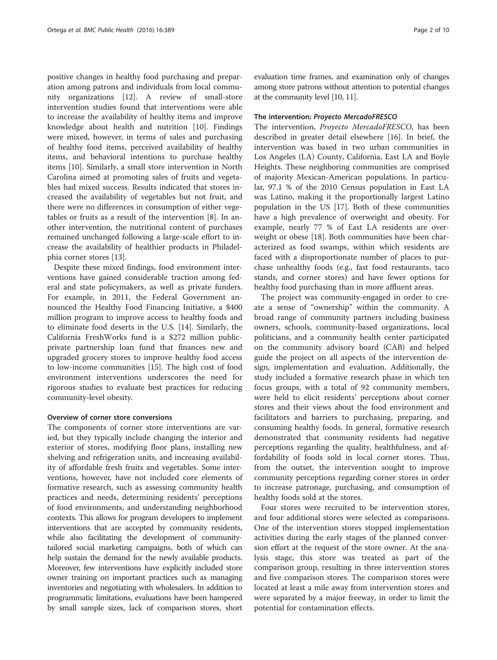positive changes in healthy food purchasing and preparation among patrons and individuals from local community organizations [[12](#page-8-0)]. A review of small-store intervention studies found that interventions were able to increase the availability of healthy items and improve knowledge about health and nutrition [\[10](#page-8-0)]. Findings were mixed, however, in terms of sales and purchasing of healthy food items, perceived availability of healthy items, and behavioral intentions to purchase healthy items [\[10](#page-8-0)]. Similarly, a small store intervention in North Carolina aimed at promoting sales of fruits and vegetables had mixed success. Results indicated that stores increased the availability of vegetables but not fruit, and there were no differences in consumption of either vegetables or fruits as a result of the intervention [\[8](#page-8-0)]. In another intervention, the nutritional content of purchases remained unchanged following a large-scale effort to increase the availability of healthier products in Philadelphia corner stores [[13\]](#page-8-0).

Despite these mixed findings, food environment interventions have gained considerable traction among federal and state policymakers, as well as private funders. For example, in 2011, the Federal Government announced the Healthy Food Financing Initiative, a \$400 million program to improve access to healthy foods and to eliminate food deserts in the U.S. [[14\]](#page-8-0). Similarly, the California FreshWorks fund is a \$272 million publicprivate partnership loan fund that finances new and upgraded grocery stores to improve healthy food access to low-income communities [\[15](#page-8-0)]. The high cost of food environment interventions underscores the need for rigorous studies to evaluate best practices for reducing community-level obesity.

#### Overview of corner store conversions

The components of corner store interventions are varied, but they typically include changing the interior and exterior of stores, modifying floor plans, installing new shelving and refrigeration units, and increasing availability of affordable fresh fruits and vegetables. Some interventions, however, have not included core elements of formative research, such as assessing community health practices and needs, determining residents' perceptions of food environments, and understanding neighborhood contexts. This allows for program developers to implement interventions that are accepted by community residents, while also facilitating the development of communitytailored social marketing campaigns, both of which can help sustain the demand for the newly available products. Moreover, few interventions have explicitly included store owner training on important practices such as managing inventories and negotiating with wholesalers. In addition to programmatic limitations, evaluations have been hampered by small sample sizes, lack of comparison stores, short

evaluation time frames, and examination only of changes among store patrons without attention to potential changes at the community level [\[10, 11\]](#page-8-0).

#### The intervention: Proyecto MercadoFRESCO

The intervention, Proyecto MercadoFRESCO, has been described in greater detail elsewhere [[16](#page-8-0)]. In brief, the intervention was based in two urban communities in Los Angeles (LA) County, California, East LA and Boyle Heights. These neighboring communities are comprised of majority Mexican-American populations. In particular, 97.1 % of the 2010 Census population in East LA was Latino, making it the proportionally largest Latino population in the US [\[17](#page-8-0)]. Both of these communities have a high prevalence of overweight and obesity. For example, nearly 77 % of East LA residents are overweight or obese [\[18\]](#page-8-0). Both communities have been characterized as food swamps, within which residents are faced with a disproportionate number of places to purchase unhealthy foods (e.g., fast food restaurants, taco stands, and corner stores) and have fewer options for healthy food purchasing than in more affluent areas.

The project was community-engaged in order to create a sense of "ownership" within the community. A broad range of community partners including business owners, schools, community-based organizations, local politicians, and a community health center participated on the community advisory board (CAB) and helped guide the project on all aspects of the intervention design, implementation and evaluation. Additionally, the study included a formative research phase in which ten focus groups, with a total of 92 community members, were held to elicit residents' perceptions about corner stores and their views about the food environment and facilitators and barriers to purchasing, preparing, and consuming healthy foods. In general, formative research demonstrated that community residents had negative perceptions regarding the quality, healthfulness, and affordability of foods sold in local corner stores. Thus, from the outset, the intervention sought to improve community perceptions regarding corner stores in order to increase patronage, purchasing, and consumption of healthy foods sold at the stores.

Four stores were recruited to be intervention stores, and four additional stores were selected as comparisons. One of the intervention stores stopped implementation activities during the early stages of the planned conversion effort at the request of the store owner. At the analysis stage, this store was treated as part of the comparison group, resulting in three intervention stores and five comparison stores. The comparison stores were located at least a mile away from intervention stores and were separated by a major freeway, in order to limit the potential for contamination effects.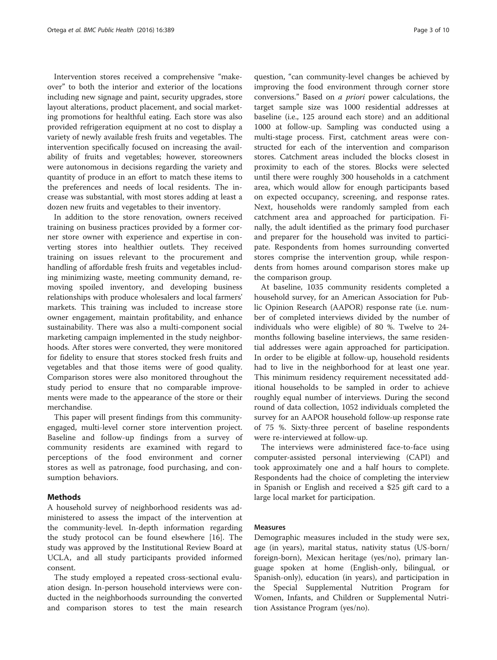Intervention stores received a comprehensive "makeover" to both the interior and exterior of the locations including new signage and paint, security upgrades, store layout alterations, product placement, and social marketing promotions for healthful eating. Each store was also provided refrigeration equipment at no cost to display a variety of newly available fresh fruits and vegetables. The intervention specifically focused on increasing the availability of fruits and vegetables; however, storeowners were autonomous in decisions regarding the variety and quantity of produce in an effort to match these items to the preferences and needs of local residents. The increase was substantial, with most stores adding at least a dozen new fruits and vegetables to their inventory.

In addition to the store renovation, owners received training on business practices provided by a former corner store owner with experience and expertise in converting stores into healthier outlets. They received training on issues relevant to the procurement and handling of affordable fresh fruits and vegetables including minimizing waste, meeting community demand, removing spoiled inventory, and developing business relationships with produce wholesalers and local farmers' markets. This training was included to increase store owner engagement, maintain profitability, and enhance sustainability. There was also a multi-component social marketing campaign implemented in the study neighborhoods. After stores were converted, they were monitored for fidelity to ensure that stores stocked fresh fruits and vegetables and that those items were of good quality. Comparison stores were also monitored throughout the study period to ensure that no comparable improvements were made to the appearance of the store or their merchandise.

This paper will present findings from this communityengaged, multi-level corner store intervention project. Baseline and follow-up findings from a survey of community residents are examined with regard to perceptions of the food environment and corner stores as well as patronage, food purchasing, and consumption behaviors.

#### Methods

A household survey of neighborhood residents was administered to assess the impact of the intervention at the community-level. In-depth information regarding the study protocol can be found elsewhere [[16\]](#page-8-0). The study was approved by the Institutional Review Board at UCLA, and all study participants provided informed consent.

The study employed a repeated cross-sectional evaluation design. In-person household interviews were conducted in the neighborhoods surrounding the converted and comparison stores to test the main research

question, "can community-level changes be achieved by improving the food environment through corner store conversions." Based on a priori power calculations, the target sample size was 1000 residential addresses at baseline (i.e., 125 around each store) and an additional 1000 at follow-up. Sampling was conducted using a multi-stage process. First, catchment areas were constructed for each of the intervention and comparison stores. Catchment areas included the blocks closest in proximity to each of the stores. Blocks were selected until there were roughly 300 households in a catchment area, which would allow for enough participants based on expected occupancy, screening, and response rates. Next, households were randomly sampled from each catchment area and approached for participation. Finally, the adult identified as the primary food purchaser and preparer for the household was invited to participate. Respondents from homes surrounding converted stores comprise the intervention group, while respondents from homes around comparison stores make up the comparison group.

At baseline, 1035 community residents completed a household survey, for an American Association for Public Opinion Research (AAPOR) response rate (i.e. number of completed interviews divided by the number of individuals who were eligible) of 80 %. Twelve to 24 months following baseline interviews, the same residential addresses were again approached for participation. In order to be eligible at follow-up, household residents had to live in the neighborhood for at least one year. This minimum residency requirement necessitated additional households to be sampled in order to achieve roughly equal number of interviews. During the second round of data collection, 1052 individuals completed the survey for an AAPOR household follow-up response rate of 75 %. Sixty-three percent of baseline respondents were re-interviewed at follow-up.

The interviews were administered face-to-face using computer-assisted personal interviewing (CAPI) and took approximately one and a half hours to complete. Respondents had the choice of completing the interview in Spanish or English and received a \$25 gift card to a large local market for participation.

#### Measures

Demographic measures included in the study were sex, age (in years), marital status, nativity status (US-born/ foreign-born), Mexican heritage (yes/no), primary language spoken at home (English-only, bilingual, or Spanish-only), education (in years), and participation in the Special Supplemental Nutrition Program for Women, Infants, and Children or Supplemental Nutrition Assistance Program (yes/no).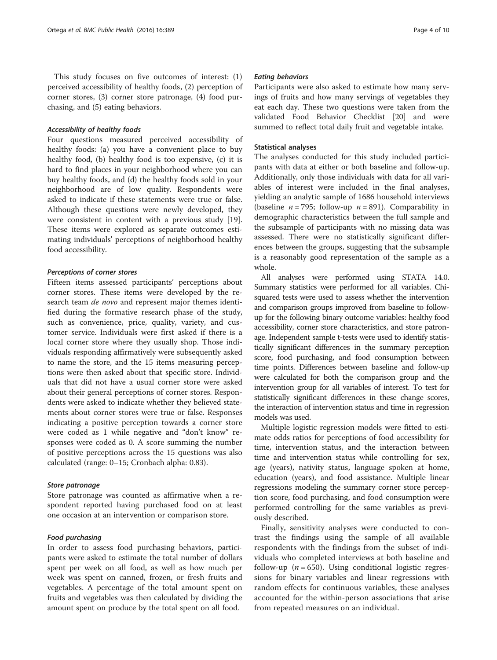This study focuses on five outcomes of interest: (1) perceived accessibility of healthy foods, (2) perception of corner stores, (3) corner store patronage, (4) food purchasing, and (5) eating behaviors.

#### Accessibility of healthy foods

Four questions measured perceived accessibility of healthy foods: (a) you have a convenient place to buy healthy food, (b) healthy food is too expensive, (c) it is hard to find places in your neighborhood where you can buy healthy foods, and (d) the healthy foods sold in your neighborhood are of low quality. Respondents were asked to indicate if these statements were true or false. Although these questions were newly developed, they were consistent in content with a previous study [\[19](#page-8-0)]. These items were explored as separate outcomes estimating individuals' perceptions of neighborhood healthy food accessibility.

#### Perceptions of corner stores

Fifteen items assessed participants' perceptions about corner stores. These items were developed by the research team *de novo* and represent major themes identified during the formative research phase of the study, such as convenience, price, quality, variety, and customer service. Individuals were first asked if there is a local corner store where they usually shop. Those individuals responding affirmatively were subsequently asked to name the store, and the 15 items measuring perceptions were then asked about that specific store. Individuals that did not have a usual corner store were asked about their general perceptions of corner stores. Respondents were asked to indicate whether they believed statements about corner stores were true or false. Responses indicating a positive perception towards a corner store were coded as 1 while negative and "don't know" responses were coded as 0. A score summing the number of positive perceptions across the 15 questions was also calculated (range: 0–15; Cronbach alpha: 0.83).

#### Store patronage

Store patronage was counted as affirmative when a respondent reported having purchased food on at least one occasion at an intervention or comparison store.

#### Food purchasing

In order to assess food purchasing behaviors, participants were asked to estimate the total number of dollars spent per week on all food, as well as how much per week was spent on canned, frozen, or fresh fruits and vegetables. A percentage of the total amount spent on fruits and vegetables was then calculated by dividing the amount spent on produce by the total spent on all food.

#### Eating behaviors

Participants were also asked to estimate how many servings of fruits and how many servings of vegetables they eat each day. These two questions were taken from the validated Food Behavior Checklist [[20](#page-8-0)] and were summed to reflect total daily fruit and vegetable intake.

#### Statistical analyses

The analyses conducted for this study included participants with data at either or both baseline and follow-up. Additionally, only those individuals with data for all variables of interest were included in the final analyses, yielding an analytic sample of 1686 household interviews (baseline  $n = 795$ ; follow-up  $n = 891$ ). Comparability in demographic characteristics between the full sample and the subsample of participants with no missing data was assessed. There were no statistically significant differences between the groups, suggesting that the subsample is a reasonably good representation of the sample as a whole.

All analyses were performed using STATA 14.0. Summary statistics were performed for all variables. Chisquared tests were used to assess whether the intervention and comparison groups improved from baseline to followup for the following binary outcome variables: healthy food accessibility, corner store characteristics, and store patronage. Independent sample t-tests were used to identify statistically significant differences in the summary perception score, food purchasing, and food consumption between time points. Differences between baseline and follow-up were calculated for both the comparison group and the intervention group for all variables of interest. To test for statistically significant differences in these change scores, the interaction of intervention status and time in regression models was used.

Multiple logistic regression models were fitted to estimate odds ratios for perceptions of food accessibility for time, intervention status, and the interaction between time and intervention status while controlling for sex, age (years), nativity status, language spoken at home, education (years), and food assistance. Multiple linear regressions modeling the summary corner store perception score, food purchasing, and food consumption were performed controlling for the same variables as previously described.

Finally, sensitivity analyses were conducted to contrast the findings using the sample of all available respondents with the findings from the subset of individuals who completed interviews at both baseline and follow-up ( $n = 650$ ). Using conditional logistic regressions for binary variables and linear regressions with random effects for continuous variables, these analyses accounted for the within-person associations that arise from repeated measures on an individual.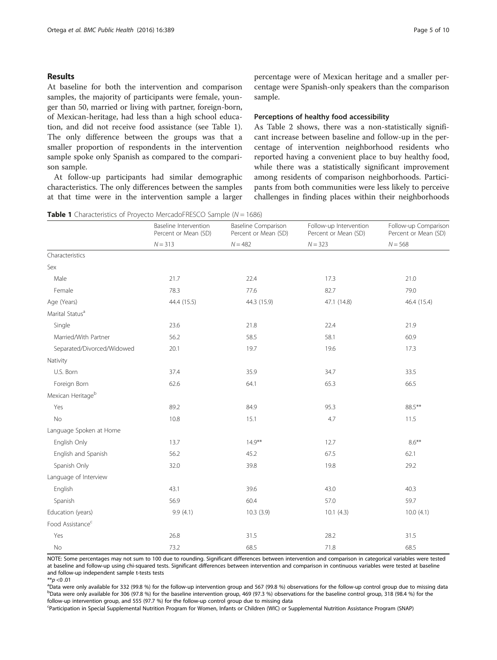#### Results

At baseline for both the intervention and comparison samples, the majority of participants were female, younger than 50, married or living with partner, foreign-born, of Mexican-heritage, had less than a high school education, and did not receive food assistance (see Table 1). The only difference between the groups was that a smaller proportion of respondents in the intervention sample spoke only Spanish as compared to the comparison sample.

At follow-up participants had similar demographic characteristics. The only differences between the samples at that time were in the intervention sample a larger percentage were of Mexican heritage and a smaller percentage were Spanish-only speakers than the comparison sample.

#### Perceptions of healthy food accessibility

As Table [2](#page-5-0) shows, there was a non-statistically significant increase between baseline and follow-up in the percentage of intervention neighborhood residents who reported having a convenient place to buy healthy food, while there was a statistically significant improvement among residents of comparison neighborhoods. Participants from both communities were less likely to perceive challenges in finding places within their neighborhoods

|  |  |  |  |  | <b>Table 1</b> Characteristics of Proyecto MercadoFRESCO Sample (N = 1686) |  |  |  |
|--|--|--|--|--|----------------------------------------------------------------------------|--|--|--|
|--|--|--|--|--|----------------------------------------------------------------------------|--|--|--|

|                              | Baseline Intervention<br>Percent or Mean (SD) | <b>Baseline Comparison</b><br>Percent or Mean (SD) | Follow-up Intervention<br>Percent or Mean (SD) | Follow-up Comparison<br>Percent or Mean (SD) |  |
|------------------------------|-----------------------------------------------|----------------------------------------------------|------------------------------------------------|----------------------------------------------|--|
|                              | $N = 313$                                     | $N = 482$                                          | $N = 323$                                      | $N = 568$                                    |  |
| Characteristics              |                                               |                                                    |                                                |                                              |  |
| Sex                          |                                               |                                                    |                                                |                                              |  |
| Male                         | 21.7                                          | 22.4                                               | 17.3                                           | 21.0                                         |  |
| Female                       | 78.3                                          | 77.6                                               | 82.7                                           | 79.0                                         |  |
| Age (Years)                  | 44.4 (15.5)                                   | 44.3 (15.9)                                        | 47.1 (14.8)                                    | 46.4 (15.4)                                  |  |
| Marital Status <sup>a</sup>  |                                               |                                                    |                                                |                                              |  |
| Single                       | 23.6                                          | 21.8                                               | 22.4                                           | 21.9                                         |  |
| Married/With Partner         | 56.2                                          | 58.5                                               | 58.1                                           | 60.9                                         |  |
| Separated/Divorced/Widowed   | 20.1                                          | 19.7                                               | 19.6                                           | 17.3                                         |  |
| Nativity                     |                                               |                                                    |                                                |                                              |  |
| U.S. Born                    | 37.4                                          | 35.9                                               | 34.7                                           | 33.5                                         |  |
| Foreign Born                 | 62.6                                          | 64.1                                               | 65.3                                           | 66.5                                         |  |
| Mexican Heritageb            |                                               |                                                    |                                                |                                              |  |
| Yes                          | 89.2                                          | 84.9                                               | 95.3                                           | 88.5**                                       |  |
| No                           | 10.8                                          | 15.1                                               | 4.7                                            | 11.5                                         |  |
| Language Spoken at Home      |                                               |                                                    |                                                |                                              |  |
| English Only                 | 13.7                                          | $14.9***$                                          | 12.7                                           | $8.6***$                                     |  |
| English and Spanish          | 56.2                                          | 45.2                                               | 67.5                                           | 62.1                                         |  |
| Spanish Only                 | 32.0                                          | 39.8                                               | 19.8                                           | 29.2                                         |  |
| Language of Interview        |                                               |                                                    |                                                |                                              |  |
| English                      | 43.1                                          | 39.6                                               | 43.0                                           | 40.3                                         |  |
| Spanish                      | 56.9                                          | 60.4                                               | 57.0                                           | 59.7                                         |  |
| Education (years)            | 9.9(4.1)                                      | 10.3(3.9)                                          | 10.1(4.3)                                      | 10.0(4.1)                                    |  |
| Food Assistance <sup>c</sup> |                                               |                                                    |                                                |                                              |  |
| Yes                          | 26.8                                          | 31.5                                               | 28.2                                           | 31.5                                         |  |
| No                           | 73.2                                          | 68.5                                               | 71.8                                           | 68.5                                         |  |

NOTE: Some percentages may not sum to 100 due to rounding. Significant differences between intervention and comparison in categorical variables were tested at baseline and follow-up using chi-squared tests. Significant differences between intervention and comparison in continuous variables were tested at baseline and follow-up independent sample t-tests tests

 $* p < 0.01$ 

<sup>a</sup>Data were only available for 332 (99.8 %) for the follow-up intervention group and 567 (99.8 %) observations for the follow-up control group due to missing data <sup>b</sup>Data were only available for 306 (97.8 %) for the baseline intervention group, 469 (97.3 %) observations for the baseline control group, 318 (98.4 %) for the follow-up intervention group, and 555 (97.7 %) for the follow-up control group due to missing data

c Participation in Special Supplemental Nutrition Program for Women, Infants or Children (WIC) or Supplemental Nutrition Assistance Program (SNAP)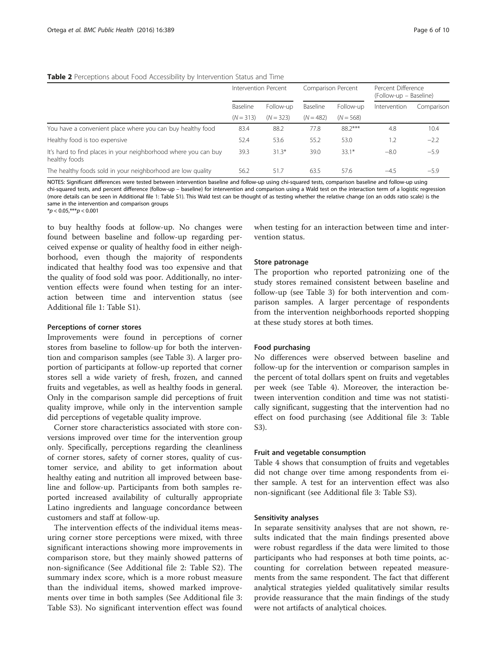#### <span id="page-5-0"></span>Table 2 Perceptions about Food Accessibility by Intervention Status and Time

|                                                                                  | Intervention Percent |             | Comparison Percent |             | Percent Difference<br>(Follow-up – Baseline) |            |
|----------------------------------------------------------------------------------|----------------------|-------------|--------------------|-------------|----------------------------------------------|------------|
|                                                                                  | Baseline             | Follow-up   | Baseline           | Follow-up   | Intervention                                 | Comparison |
|                                                                                  | $(N = 313)$          | $(N = 323)$ | $(N = 482)$        | $(N = 568)$ |                                              |            |
| You have a convenient place where you can buy healthy food                       | 83.4                 | 88.2        | 77.8               | 88.2***     | 4.8                                          | 10.4       |
| Healthy food is too expensive                                                    | 52.4                 | 53.6        | 55.2               | 53.0        | 1.2                                          | $-2.2$     |
| It's hard to find places in your neighborhood where you can buy<br>healthy foods | 39.3                 | $31.3*$     | 39.0               | $33.1*$     | $-8.0$                                       | $-5.9$     |
| The healthy foods sold in your neighborhood are low quality                      | 56.2                 | 51.7        | 63.5               | 57.6        | $-4.5$                                       | $-5.9$     |

NOTES: Significant differences were tested between intervention baseline and follow-up using chi-squared tests, comparison baseline and follow-up using chi-squared tests, and percent difference (follow-up – baseline) for intervention and comparison using a Wald test on the interaction term of a logistic regression (more details can be seen in Additional file [1](#page-8-0): Table S1). This Wald test can be thought of as testing whether the relative change (on an odds ratio scale) is the same in the intervention and comparison groups

 $**p* < 0.05, ***p* < 0.001$ 

to buy healthy foods at follow-up. No changes were found between baseline and follow-up regarding perceived expense or quality of healthy food in either neighborhood, even though the majority of respondents indicated that healthy food was too expensive and that the quality of food sold was poor. Additionally, no intervention effects were found when testing for an interaction between time and intervention status (see Additional file [1:](#page-8-0) Table S1).

#### Perceptions of corner stores

Improvements were found in perceptions of corner stores from baseline to follow-up for both the intervention and comparison samples (see Table [3](#page-6-0)). A larger proportion of participants at follow-up reported that corner stores sell a wide variety of fresh, frozen, and canned fruits and vegetables, as well as healthy foods in general. Only in the comparison sample did perceptions of fruit quality improve, while only in the intervention sample did perceptions of vegetable quality improve.

Corner store characteristics associated with store conversions improved over time for the intervention group only. Specifically, perceptions regarding the cleanliness of corner stores, safety of corner stores, quality of customer service, and ability to get information about healthy eating and nutrition all improved between baseline and follow-up. Participants from both samples reported increased availability of culturally appropriate Latino ingredients and language concordance between customers and staff at follow-up.

The intervention effects of the individual items measuring corner store perceptions were mixed, with three significant interactions showing more improvements in comparison store, but they mainly showed patterns of non-significance (See Additional file [2](#page-8-0): Table S2). The summary index score, which is a more robust measure than the individual items, showed marked improvements over time in both samples (See Additional file [3](#page-8-0): Table S3). No significant intervention effect was found

when testing for an interaction between time and intervention status.

#### Store patronage

The proportion who reported patronizing one of the study stores remained consistent between baseline and follow-up (see Table [3](#page-6-0)) for both intervention and comparison samples. A larger percentage of respondents from the intervention neighborhoods reported shopping at these study stores at both times.

#### Food purchasing

No differences were observed between baseline and follow-up for the intervention or comparison samples in the percent of total dollars spent on fruits and vegetables per week (see Table [4](#page-6-0)). Moreover, the interaction between intervention condition and time was not statistically significant, suggesting that the intervention had no effect on food purchasing (see Additional file [3:](#page-8-0) Table S3).

#### Fruit and vegetable consumption

Table [4](#page-6-0) shows that consumption of fruits and vegetables did not change over time among respondents from either sample. A test for an intervention effect was also non-significant (see Additional file [3](#page-8-0): Table S3).

#### Sensitivity analyses

In separate sensitivity analyses that are not shown, results indicated that the main findings presented above were robust regardless if the data were limited to those participants who had responses at both time points, accounting for correlation between repeated measurements from the same respondent. The fact that different analytical strategies yielded qualitatively similar results provide reassurance that the main findings of the study were not artifacts of analytical choices.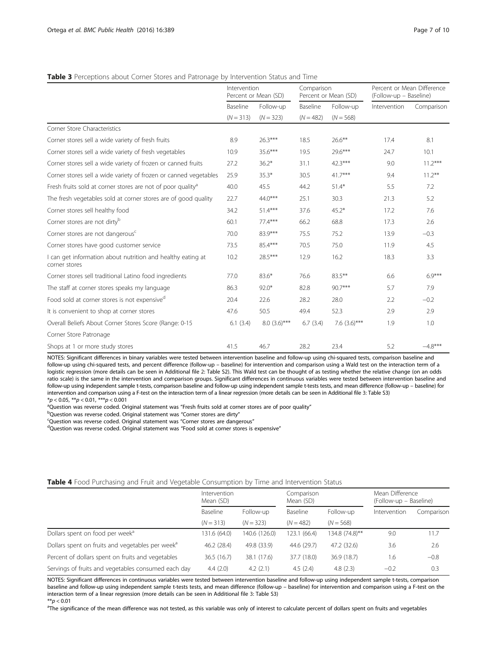#### <span id="page-6-0"></span>Table 3 Perceptions about Corner Stores and Patronage by Intervention Status and Time

|                                                                              | Intervention | Percent or Mean (SD)     | Comparison<br>Percent or Mean (SD) |                          | Percent or Mean Difference<br>(Follow-up - Baseline) |            |
|------------------------------------------------------------------------------|--------------|--------------------------|------------------------------------|--------------------------|------------------------------------------------------|------------|
|                                                                              | Baseline     | Follow-up<br>$(N = 323)$ | Baseline<br>$(N = 482)$            | Follow-up<br>$(N = 568)$ | Intervention                                         | Comparison |
|                                                                              | $(N = 313)$  |                          |                                    |                          |                                                      |            |
| Corner Store Characteristics                                                 |              |                          |                                    |                          |                                                      |            |
| Corner stores sell a wide variety of fresh fruits                            | 8.9          | $26.3***$                | 18.5                               | $26.6***$                | 17.4                                                 | 8.1        |
| Corner stores sell a wide variety of fresh vegetables                        | 10.9         | 35.6***                  | 19.5                               | 29.6***                  | 24.7                                                 | 10.1       |
| Corner stores sell a wide variety of frozen or canned fruits                 | 27.2         | $36.2*$                  | 31.1                               | $42.3***$                | 9.0                                                  | $11.2***$  |
| Corner stores sell a wide variety of frozen or canned vegetables             | 25.9         | $35.3*$                  | 30.5                               | $41.7***$                | 9.4                                                  | $11.2***$  |
| Fresh fruits sold at corner stores are not of poor quality <sup>a</sup>      | 40.0         | 45.5                     | 44.2                               | $51.4*$                  | 5.5                                                  | 7.2        |
| The fresh vegetables sold at corner stores are of good quality               | 22.7         | $44.0***$                | 25.1                               | 30.3                     | 21.3                                                 | 5.2        |
| Corner stores sell healthy food                                              | 34.2         | $51.4***$                | 37.6                               | $45.2*$                  | 17.2                                                 | 7.6        |
| Corner stores are not dirty <sup>b</sup>                                     | 60.1         | $77.4***$                | 66.2                               | 68.8                     | 17.3                                                 | 2.6        |
| Corner stores are not dangerous <sup>c</sup>                                 | 70.0         | 83.9***                  | 75.5                               | 75.2                     | 13.9                                                 | $-0.3$     |
| Corner stores have good customer service                                     | 73.5         | 85.4***                  | 70.5                               | 75.0                     | 11.9                                                 | 4.5        |
| I can get information about nutrition and healthy eating at<br>corner stores | 10.2         | 28.5***                  | 12.9                               | 16.2                     | 18.3                                                 | 3.3        |
| Corner stores sell traditional Latino food ingredients                       | 77.0         | $83.6*$                  | 76.6                               | $83.5***$                | 6.6                                                  | $6.9***$   |
| The staff at corner stores speaks my language                                | 86.3         | $92.0*$                  | 82.8                               | 90.7***                  | 5.7                                                  | 7.9        |
| Food sold at corner stores is not expensive <sup>d</sup>                     | 20.4         | 22.6                     | 28.2                               | 28.0                     | 2.2                                                  | $-0.2$     |
| It is convenient to shop at corner stores                                    |              | 50.5                     | 49.4                               | 52.3                     | 2.9                                                  | 2.9        |
| Overall Beliefs About Corner Stores Score (Range: 0-15                       | 6.1(3.4)     | $8.0(3.6)$ ***           | 6.7(3.4)                           | 7.6 $(3.6)$ ***          | 1.9                                                  | 1.0        |
| Corner Store Patronage                                                       |              |                          |                                    |                          |                                                      |            |
| Shops at 1 or more study stores                                              | 41.5         | 46.7                     | 28.2                               | 23.4                     | 5.2                                                  | $-4.8***$  |

NOTES: Significant differences in binary variables were tested between intervention baseline and follow-up using chi-squared tests, comparison baseline and follow-up using chi-squared tests, and percent difference (follow-up – baseline) for intervention and comparison using a Wald test on the interaction term of a logistic regression (more details can be seen in Additional file [2:](#page-8-0) Table S2). This Wald test can be thought of as testing whether the relative change (on an odds ratio scale) is the same in the intervention and comparison groups. Significant differences in continuous variables were tested between intervention baseline and follow-up using independent sample t-tests, comparison baseline and follow-up using independent sample t-tests tests, and mean difference (follow-up – baseline) for intervention and comparison using a F-test on the interaction term of a linear regression (more details can be seen in Additional file [3](#page-8-0): Table S3)  $*p < 0.05$ ,  $**p < 0.01$ ,  $***p < 0.001$ 

<sup>a</sup>Question was reverse coded. Original statement was "Fresh fruits sold at corner stores are of poor quality"

<sup>b</sup>Question was reverse coded. Original statement was "Corner stores are dirty"

<sup>c</sup>Question was reverse coded. Original statement was "Corner stores are dangerous"

dQuestion was reverse coded. Original statement was "Food sold at corner stores is expensive"

#### Table 4 Food Purchasing and Fruit and Vegetable Consumption by Time and Intervention Status

|                                                              | Intervention<br>Mean (SD) |               | Comparison<br>Mean (SD) |                          | Mean Difference<br>(Follow-up – Baseline) |            |
|--------------------------------------------------------------|---------------------------|---------------|-------------------------|--------------------------|-------------------------------------------|------------|
|                                                              | Baseline                  | Follow-up     | Baseline                | Follow-up<br>$(N = 568)$ | Intervention                              | Comparison |
|                                                              | $(N = 313)$               | $(N = 323)$   | $(N = 482)$             |                          |                                           |            |
| Dollars spent on food per week <sup>a</sup>                  | 131.6 (64.0)              | 140.6 (126.0) | 123.1 (66.4)            | 134.8 (74.8)**           | 9.0                                       | 11.7       |
| Dollars spent on fruits and vegetables per week <sup>a</sup> | 46.2 (28.4)               | 49.8 (33.9)   | 44.6 (29.7)             | 47.2 (32.6)              | 3.6                                       | 2.6        |
| Percent of dollars spent on fruits and vegetables            | 36.5 (16.7)               | 38.1 (17.6)   | 37.7 (18.0)             | 36.9(18.7)               | 1.6                                       | $-0.8$     |
| Servings of fruits and vegetables consumed each day          | 4.4(2.0)                  | 4.2(2.1)      | 4.5(2.4)                | 4.8(2.3)                 | $-0.2$                                    | 0.3        |

NOTES: Significant differences in continuous variables were tested between intervention baseline and follow-up using independent sample t-tests, comparison baseline and follow-up using independent sample t-tests tests, and mean difference (follow-up – baseline) for intervention and comparison using a F-test on the interaction term of a linear regression (more details can be seen in Additional file [3](#page-8-0): Table S3)<br>\*\*p < 0.01

\*\*p<0.01<br><sup>a</sup>The significance of the mean difference was not tested, as this variable was only of interest to calculate percent of dollars spent on fruits and vegetables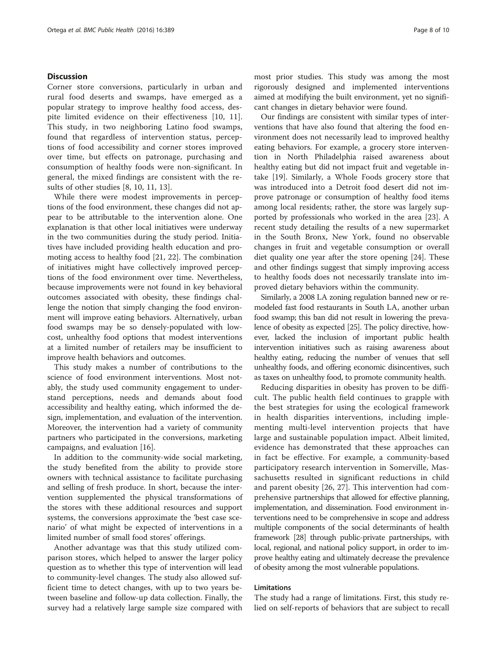#### **Discussion**

Corner store conversions, particularly in urban and rural food deserts and swamps, have emerged as a popular strategy to improve healthy food access, despite limited evidence on their effectiveness [\[10](#page-8-0), [11](#page-8-0)]. This study, in two neighboring Latino food swamps, found that regardless of intervention status, perceptions of food accessibility and corner stores improved over time, but effects on patronage, purchasing and consumption of healthy foods were non-significant. In general, the mixed findings are consistent with the results of other studies [\[8](#page-8-0), [10](#page-8-0), [11, 13\]](#page-8-0).

While there were modest improvements in perceptions of the food environment, these changes did not appear to be attributable to the intervention alone. One explanation is that other local initiatives were underway in the two communities during the study period. Initiatives have included providing health education and promoting access to healthy food [\[21](#page-9-0), [22](#page-9-0)]. The combination of initiatives might have collectively improved perceptions of the food environment over time. Nevertheless, because improvements were not found in key behavioral outcomes associated with obesity, these findings challenge the notion that simply changing the food environment will improve eating behaviors. Alternatively, urban food swamps may be so densely-populated with lowcost, unhealthy food options that modest interventions at a limited number of retailers may be insufficient to improve health behaviors and outcomes.

This study makes a number of contributions to the science of food environment interventions. Most notably, the study used community engagement to understand perceptions, needs and demands about food accessibility and healthy eating, which informed the design, implementation, and evaluation of the intervention. Moreover, the intervention had a variety of community partners who participated in the conversions, marketing campaigns, and evaluation [\[16\]](#page-8-0).

In addition to the community-wide social marketing, the study benefited from the ability to provide store owners with technical assistance to facilitate purchasing and selling of fresh produce. In short, because the intervention supplemented the physical transformations of the stores with these additional resources and support systems, the conversions approximate the 'best case scenario' of what might be expected of interventions in a limited number of small food stores' offerings.

Another advantage was that this study utilized comparison stores, which helped to answer the larger policy question as to whether this type of intervention will lead to community-level changes. The study also allowed sufficient time to detect changes, with up to two years between baseline and follow-up data collection. Finally, the survey had a relatively large sample size compared with most prior studies. This study was among the most rigorously designed and implemented interventions aimed at modifying the built environment, yet no significant changes in dietary behavior were found.

Our findings are consistent with similar types of interventions that have also found that altering the food environment does not necessarily lead to improved healthy eating behaviors. For example, a grocery store intervention in North Philadelphia raised awareness about healthy eating but did not impact fruit and vegetable intake [\[19](#page-8-0)]. Similarly, a Whole Foods grocery store that was introduced into a Detroit food desert did not improve patronage or consumption of healthy food items among local residents; rather, the store was largely supported by professionals who worked in the area [[23](#page-9-0)]. A recent study detailing the results of a new supermarket in the South Bronx, New York, found no observable changes in fruit and vegetable consumption or overall diet quality one year after the store opening [[24](#page-9-0)]. These and other findings suggest that simply improving access to healthy foods does not necessarily translate into improved dietary behaviors within the community.

Similarly, a 2008 LA zoning regulation banned new or remodeled fast food restaurants in South LA, another urban food swamp; this ban did not result in lowering the prevalence of obesity as expected [\[25](#page-9-0)]. The policy directive, however, lacked the inclusion of important public health intervention initiatives such as raising awareness about healthy eating, reducing the number of venues that sell unhealthy foods, and offering economic disincentives, such as taxes on unhealthy food, to promote community health.

Reducing disparities in obesity has proven to be difficult. The public health field continues to grapple with the best strategies for using the ecological framework in health disparities interventions, including implementing multi-level intervention projects that have large and sustainable population impact. Albeit limited, evidence has demonstrated that these approaches can in fact be effective. For example, a community-based participatory research intervention in Somerville, Massachusetts resulted in significant reductions in child and parent obesity [[26, 27](#page-9-0)]. This intervention had comprehensive partnerships that allowed for effective planning, implementation, and dissemination. Food environment interventions need to be comprehensive in scope and address multiple components of the social determinants of health framework [[28](#page-9-0)] through public-private partnerships, with local, regional, and national policy support, in order to improve healthy eating and ultimately decrease the prevalence of obesity among the most vulnerable populations.

#### Limitations

The study had a range of limitations. First, this study relied on self-reports of behaviors that are subject to recall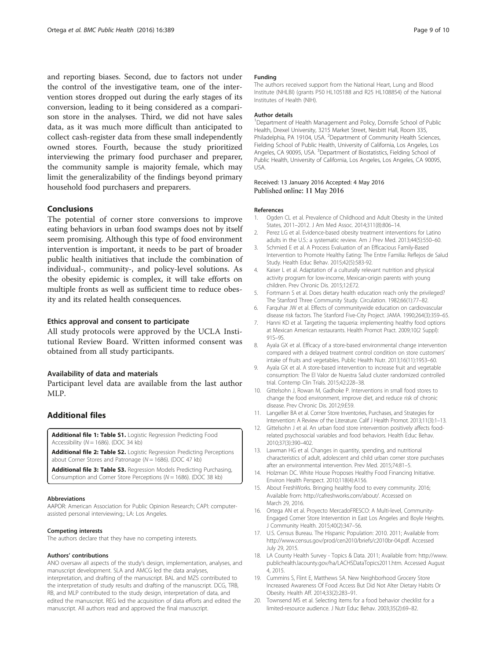<span id="page-8-0"></span>and reporting biases. Second, due to factors not under the control of the investigative team, one of the intervention stores dropped out during the early stages of its conversion, leading to it being considered as a comparison store in the analyses. Third, we did not have sales data, as it was much more difficult than anticipated to collect cash-register data from these small independently owned stores. Fourth, because the study prioritized interviewing the primary food purchaser and preparer, the community sample is majority female, which may limit the generalizability of the findings beyond primary household food purchasers and preparers.

#### **Conclusions**

The potential of corner store conversions to improve eating behaviors in urban food swamps does not by itself seem promising. Although this type of food environment intervention is important, it needs to be part of broader public health initiatives that include the combination of individual-, community-, and policy-level solutions. As the obesity epidemic is complex, it will take efforts on multiple fronts as well as sufficient time to reduce obesity and its related health consequences.

#### Ethics approval and consent to participate

All study protocols were approved by the UCLA Institutional Review Board. Written informed consent was obtained from all study participants.

#### Availability of data and materials

Participant level data are available from the last author MLP.

#### Additional files

[Additional file 1: Table S1.](dx.doi.org/10.1186/s12889-016-3074-1) Logistic Regression Predicting Food Accessibility ( $N = 1686$ ). (DOC 34 kb)

[Additional file 2: Table S2.](dx.doi.org/10.1186/s12889-016-3074-1) Logistic Regression Predicting Perceptions about Corner Stores and Patronage ( $N = 1686$ ). (DOC 47 kb)

[Additional file 3: Table S3.](dx.doi.org/10.1186/s12889-016-3074-1) Regression Models Predicting Purchasing, Consumption and Corner Store Perceptions ( $N = 1686$ ). (DOC 38 kb)

#### Abbreviations

AAPOR: American Association for Public Opinion Research; CAPI: computerassisted personal interviewing.; LA: Los Angeles.

#### Competing interests

The authors declare that they have no competing interests.

#### Authors' contributions

ANO oversaw all aspects of the study's design, implementation, analyses, and manuscript development. SLA and AMCG led the data analyses, interpretation, and drafting of the manuscript. BAL and MZS contributed to the interpretation of study results and drafting of the manuscript. DCG, TRB, RB, and MLP contributed to the study design, interpretation of data, and edited the manuscript. REG led the acquisition of data efforts and edited the manuscript. All authors read and approved the final manuscript.

#### Funding

The authors received support from the National Heart, Lung and Blood Institute (NHLBI) (grants P50 HL105188 and R25 HL108854) of the National Institutes of Health (NIH).

#### Author details

<sup>1</sup>Department of Health Management and Policy, Dornsife School of Public Health, Drexel University, 3215 Market Street, Nesbitt Hall, Room 335, Philadelphia, PA 19104, USA. <sup>2</sup> Department of Community Health Sciences Fielding School of Public Health, University of California, Los Angeles, Los Angeles, CA 90095, USA. <sup>3</sup>Department of Biostatistics, Fielding School of Public Health, University of California, Los Angeles, Los Angeles, CA 90095, USA.

#### Received: 13 January 2016 Accepted: 4 May 2016 Published online: 11 May 2016

#### References

- 1. Ogden CL et al. Prevalence of Childhood and Adult Obesity in the United States, 2011–2012. J Am Med Assoc. 2014;311(8):806–14.
- 2. Perez LG et al. Evidence-based obesity treatment interventions for Latino adults in the U.S.: a systematic review. Am J Prev Med. 2013;44(5):550–60.
- 3. Schmied E et al. A Process Evaluation of an Efficacious Family-Based Intervention to Promote Healthy Eating: The Entre Familia: Reflejos de Salud Study. Health Educ Behav. 2015;42(5):583-92.
- 4. Kaiser L et al. Adaptation of a culturally relevant nutrition and physical activity program for low-income, Mexican-origin parents with young children. Prev Chronic Dis. 2015;12:E72.
- 5. Fortmann S et al. Does dietary health education reach only the privileged? The Stanford Three Community Study. Circulation. 1982;66(1):77–82.
- 6. Farquhar JW et al. Effects of communitywide education on cardiovascular disease risk factors. The Stanford Five-City Project. JAMA. 1990;264(3):359–65.
- 7. Hanni KD et al. Targeting the taqueria: implementing healthy food options at Mexican American restaurants. Health Promot Pract. 2009;10(2 Suppl): 91S–9S.
- 8. Ayala GX et al. Efficacy of a store-based environmental change intervention compared with a delayed treatment control condition on store customers' intake of fruits and vegetables. Public Health Nutr. 2013;16(11):1953–60.
- 9. Ayala GX et al. A store-based intervention to increase fruit and vegetable consumption: The El Valor de Nuestra Salud cluster randomized controlled trial. Contemp Clin Trials. 2015;42:228–38.
- 10. Gittelsohn J, Rowan M, Gadhoke P. Interventions in small food stores to change the food environment, improve diet, and reduce risk of chronic disease. Prev Chronic Dis. 2012;9:E59.
- 11. Langellier BA et al. Corner Store Inventories, Purchases, and Strategies for Intervention: A Review of the Literature. Calif J Health Promot. 2013;11(3):1–13.
- 12. Gittelsohn J et al. An urban food store intervention positively affects foodrelated psychosocial variables and food behaviors. Health Educ Behav. 2010;37(3):390–402.
- 13. Lawman HG et al. Changes in quantity, spending, and nutritional characteristics of adult, adolescent and child urban corner store purchases after an environmental intervention. Prev Med. 2015;74:81–5.
- 14. Holzman DC. White House Proposes Healthy Food Financing Initiative. Environ Health Perspect. 2010;118(4):A156.
- 15. About FreshWorks. Bringing healthy food to every community. 2016; Available from:<http://cafreshworks.com/about/>. Accessed on March 29, 2016.
- 16. Ortega AN et al. Proyecto MercadoFRESCO: A Multi-level, Community-Engaged Corner Store Intervention in East Los Angeles and Boyle Heights. J Community Health. 2015;40(2):347–56.
- 17. U.S. Census Bureau. The Hispanic Population: 2010. 2011; Available from: [http://www.census.gov/prod/cen2010/briefs/c2010br-04.pdf.](http://www.census.gov/prod/cen2010/briefs/c2010br-04.pdf) Accessed July 29, 2015.
- 18. LA County Health Survey Topics & Data. 2011; Available from: [http://www.](http://www.publichealth.lacounty.gov/ha/LACHSDataTopics2011.htm) [publichealth.lacounty.gov/ha/LACHSDataTopics2011.htm](http://www.publichealth.lacounty.gov/ha/LACHSDataTopics2011.htm). Accessed August 4, 2015.
- 19. Cummins S, Flint E, Matthews SA. New Neighborhood Grocery Store Increased Awareness Of Food Access But Did Not Alter Dietary Habits Or Obesity. Health Aff. 2014;33(2):283–91.
- 20. Townsend MS et al. Selecting items for a food behavior checklist for a limited-resource audience. J Nutr Educ Behav. 2003;35(2):69–82.